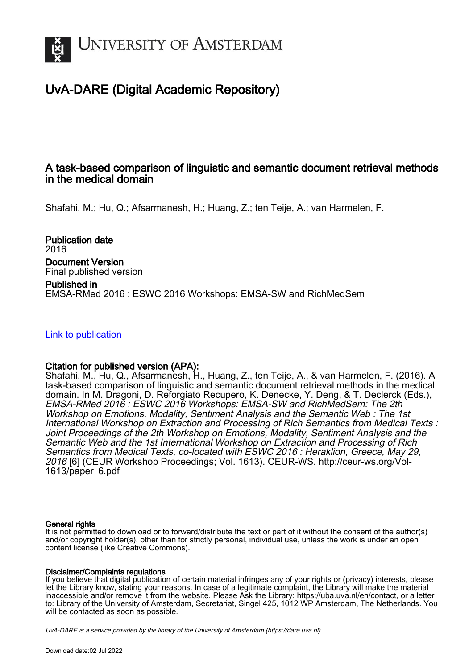

# UvA-DARE (Digital Academic Repository)

## A task-based comparison of linguistic and semantic document retrieval methods in the medical domain

Shafahi, M.; Hu, Q.; Afsarmanesh, H.; Huang, Z.; ten Teije, A.; van Harmelen, F.

Publication date 2016 Document Version Final published version Published in EMSA-RMed 2016 : ESWC 2016 Workshops: EMSA-SW and RichMedSem

[Link to publication](https://dare.uva.nl/personal/pure/en/publications/a-taskbased-comparison-of-linguistic-and-semantic-document-retrieval-methods-in-the-medical-domain(f0077b1c-dfd4-48b6-9a1b-292541f19ece).html)

## Citation for published version (APA):

Shafahi, M., Hu, Q., Afsarmanesh, H., Huang, Z., ten Teije, A., & van Harmelen, F. (2016). A task-based comparison of linguistic and semantic document retrieval methods in the medical domain. In M. Dragoni, D. Reforgiato Recupero, K. Denecke, Y. Deng, & T. Declerck (Eds.), EMSA-RMed 2016 : ESWC 2016 Workshops: EMSA-SW and RichMedSem: The 2th Workshop on Emotions, Modality, Sentiment Analysis and the Semantic Web : The 1st International Workshop on Extraction and Processing of Rich Semantics from Medical Texts : Joint Proceedings of the 2th Workshop on Emotions, Modality, Sentiment Analysis and the Semantic Web and the 1st International Workshop on Extraction and Processing of Rich Semantics from Medical Texts, co-located with ESWC 2016 : Heraklion, Greece, May 29, 2016 [6] (CEUR Workshop Proceedings; Vol. 1613). CEUR-WS. [http://ceur-ws.org/Vol-](http://ceur-ws.org/Vol-1613/paper_6.pdf)[1613/paper\\_6.pdf](http://ceur-ws.org/Vol-1613/paper_6.pdf)

## General rights

It is not permitted to download or to forward/distribute the text or part of it without the consent of the author(s) and/or copyright holder(s), other than for strictly personal, individual use, unless the work is under an open content license (like Creative Commons).

## Disclaimer/Complaints regulations

If you believe that digital publication of certain material infringes any of your rights or (privacy) interests, please let the Library know, stating your reasons. In case of a legitimate complaint, the Library will make the material inaccessible and/or remove it from the website. Please Ask the Library: https://uba.uva.nl/en/contact, or a letter to: Library of the University of Amsterdam, Secretariat, Singel 425, 1012 WP Amsterdam, The Netherlands. You will be contacted as soon as possible.

UvA-DARE is a service provided by the library of the University of Amsterdam (http*s*://dare.uva.nl)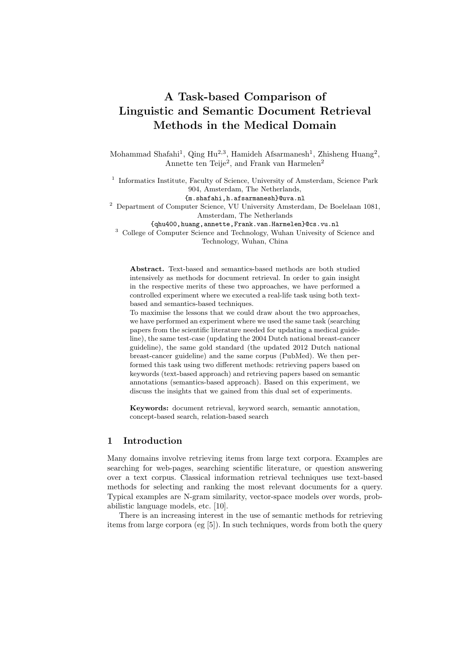# A Task-based Comparison of Linguistic and Semantic Document Retrieval Methods in the Medical Domain

Mohammad Shafahi<sup>1</sup>, Qing Hu<sup>2,3</sup>, Hamideh Afsarmanesh<sup>1</sup>, Zhisheng Huang<sup>2</sup>, Annette ten Teije<sup>2</sup>, and Frank van Harmelen<sup>2</sup>

<sup>1</sup> Informatics Institute, Faculty of Science, University of Amsterdam, Science Park 904, Amsterdam, The Netherlands,

{m.shafahi,h.afsarmanesh}@uva.nl

<sup>2</sup> Department of Computer Science, VU University Amsterdam, De Boelelaan 1081, Amsterdam, The Netherlands

{qhu400,huang,annette,Frank.van.Harmelen}@cs.vu.nl

<sup>3</sup> College of Computer Science and Technology, Wuhan Univesity of Science and Technology, Wuhan, China

Abstract. Text-based and semantics-based methods are both studied intensively as methods for document retrieval. In order to gain insight in the respective merits of these two approaches, we have performed a controlled experiment where we executed a real-life task using both textbased and semantics-based techniques.

To maximise the lessons that we could draw about the two approaches, we have performed an experiment where we used the same task (searching papers from the scientific literature needed for updating a medical guideline), the same test-case (updating the 2004 Dutch national breast-cancer guideline), the same gold standard (the updated 2012 Dutch national breast-cancer guideline) and the same corpus (PubMed). We then performed this task using two different methods: retrieving papers based on keywords (text-based approach) and retrieving papers based on semantic annotations (semantics-based approach). Based on this experiment, we discuss the insights that we gained from this dual set of experiments.

Keywords: document retrieval, keyword search, semantic annotation, concept-based search, relation-based search

## 1 Introduction

Many domains involve retrieving items from large text corpora. Examples are searching for web-pages, searching scientific literature, or question answering over a text corpus. Classical information retrieval techniques use text-based methods for selecting and ranking the most relevant documents for a query. Typical examples are N-gram similarity, vector-space models over words, probabilistic language models, etc. [10].

There is an increasing interest in the use of semantic methods for retrieving items from large corpora (eg [5]). In such techniques, words from both the query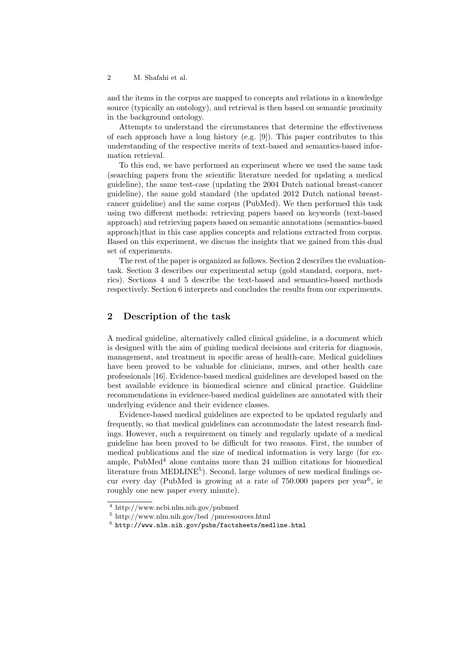and the items in the corpus are mapped to concepts and relations in a knowledge source (typically an ontology), and retrieval is then based on semantic proximity in the background ontology.

Attempts to understand the circumstances that determine the effectiveness of each approach have a long history (e.g. [9]). This paper contributes to this understanding of the respective merits of text-based and semantics-based information retrieval.

To this end, we have performed an experiment where we used the same task (searching papers from the scientific literature needed for updating a medical guideline), the same test-case (updating the 2004 Dutch national breast-cancer guideline), the same gold standard (the updated 2012 Dutch national breastcancer guideline) and the same corpus (PubMed). We then performed this task using two different methods: retrieving papers based on keywords (text-based approach) and retrieving papers based on semantic annotations (semantics-based approach)that in this case applies concepts and relations extracted from corpus. Based on this experiment, we discuss the insights that we gained from this dual set of experiments.

The rest of the paper is organized as follows. Section 2 describes the evaluationtask. Section 3 describes our experimental setup (gold standard, corpora, metrics). Sections 4 and 5 describe the text-based and semantics-based methods respectively. Section 6 interprets and concludes the results from our experiments.

## 2 Description of the task

A medical guideline, alternatively called clinical guideline, is a document which is designed with the aim of guiding medical decisions and criteria for diagnosis, management, and treatment in specific areas of health-care. Medical guidelines have been proved to be valuable for clinicians, nurses, and other health care professionals [16]. Evidence-based medical guidelines are developed based on the best available evidence in biomedical science and clinical practice. Guideline recommendations in evidence-based medical guidelines are annotated with their underlying evidence and their evidence classes.

Evidence-based medical guidelines are expected to be updated regularly and frequently, so that medical guidelines can accommodate the latest research findings. However, such a requirement on timely and regularly update of a medical guideline has been proved to be difficult for two reasons. First, the number of medical publications and the size of medical information is very large (for example,  $PubMed<sup>4</sup>$  alone contains more than 24 million citations for biomedical literature from MEDLINE<sup>5</sup>). Second, large volumes of new medical findings occur every day (PubMed is growing at a rate of  $750.000$  papers per year<sup>6</sup>, ie roughly one new paper every minute).

<sup>4</sup> http://www.ncbi.nlm.nih.gov/pubmed

<sup>5</sup> http://www.nlm.nih.gov/bsd /pmresources.html

 $^6$  http://www.nlm.nih.gov/pubs/factsheets/medline.html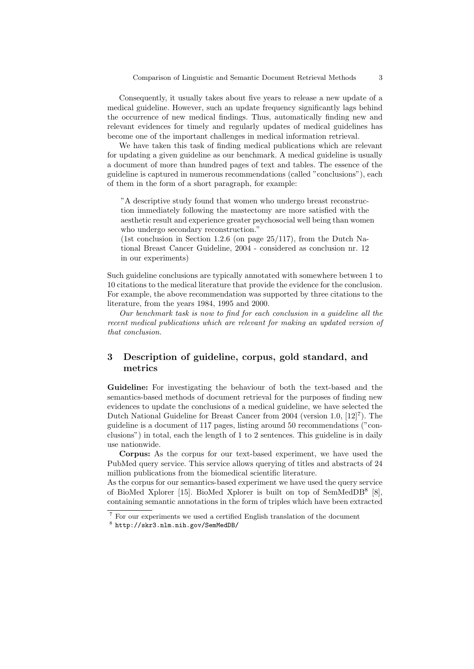Consequently, it usually takes about five years to release a new update of a medical guideline. However, such an update frequency significantly lags behind the occurrence of new medical findings. Thus, automatically finding new and relevant evidences for timely and regularly updates of medical guidelines has become one of the important challenges in medical information retrieval.

We have taken this task of finding medical publications which are relevant for updating a given guideline as our benchmark. A medical guideline is usually a document of more than hundred pages of text and tables. The essence of the guideline is captured in numerous recommendations (called "conclusions"), each of them in the form of a short paragraph, for example:

"A descriptive study found that women who undergo breast reconstruction immediately following the mastectomy are more satisfied with the aesthetic result and experience greater psychosocial well being than women who undergo secondary reconstruction."

(1st conclusion in Section 1.2.6 (on page  $25/117$ ), from the Dutch National Breast Cancer Guideline, 2004 - considered as conclusion nr. 12 in our experiments)

Such guideline conclusions are typically annotated with somewhere between 1 to 10 citations to the medical literature that provide the evidence for the conclusion. For example, the above recommendation was supported by three citations to the literature, from the years 1984, 1995 and 2000.

Our benchmark task is now to find for each conclusion in a guideline all the recent medical publications which are relevant for making an updated version of that conclusion.

## 3 Description of guideline, corpus, gold standard, and metrics

Guideline: For investigating the behaviour of both the text-based and the semantics-based methods of document retrieval for the purposes of finding new evidences to update the conclusions of a medical guideline, we have selected the Dutch National Guideline for Breast Cancer from 2004 (version 1.0, [12]<sup>7</sup>). The guideline is a document of 117 pages, listing around 50 recommendations ("conclusions") in total, each the length of 1 to 2 sentences. This guideline is in daily use nationwide.

Corpus: As the corpus for our text-based experiment, we have used the PubMed query service. This service allows querying of titles and abstracts of 24 million publications from the biomedical scientific literature.

As the corpus for our semantics-based experiment we have used the query service of BioMed Xplorer [15]. BioMed Xplorer is built on top of SemMedDB<sup>8</sup> [8], containing semantic annotations in the form of triples which have been extracted

<sup>7</sup> For our experiments we used a certified English translation of the document

<sup>8</sup> http://skr3.nlm.nih.gov/SemMedDB/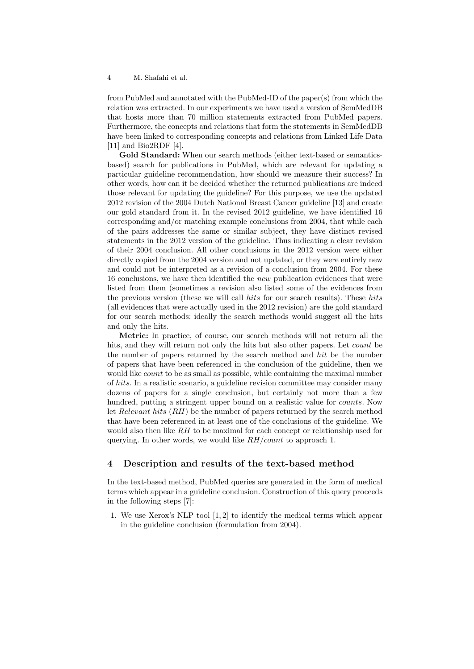from PubMed and annotated with the PubMed-ID of the paper(s) from which the relation was extracted. In our experiments we have used a version of SemMedDB that hosts more than 70 million statements extracted from PubMed papers. Furthermore, the concepts and relations that form the statements in SemMedDB have been linked to corresponding concepts and relations from Linked Life Data [11] and Bio2RDF [4].

Gold Standard: When our search methods (either text-based or semanticsbased) search for publications in PubMed, which are relevant for updating a particular guideline recommendation, how should we measure their success? In other words, how can it be decided whether the returned publications are indeed those relevant for updating the guideline? For this purpose, we use the updated 2012 revision of the 2004 Dutch National Breast Cancer guideline [13] and create our gold standard from it. In the revised 2012 guideline, we have identified 16 corresponding and/or matching example conclusions from 2004, that while each of the pairs addresses the same or similar subject, they have distinct revised statements in the 2012 version of the guideline. Thus indicating a clear revision of their 2004 conclusion. All other conclusions in the 2012 version were either directly copied from the 2004 version and not updated, or they were entirely new and could not be interpreted as a revision of a conclusion from 2004. For these 16 conclusions, we have then identified the new publication evidences that were listed from them (sometimes a revision also listed some of the evidences from the previous version (these we will call hits for our search results). These hits (all evidences that were actually used in the 2012 revision) are the gold standard for our search methods: ideally the search methods would suggest all the hits and only the hits.

Metric: In practice, of course, our search methods will not return all the hits, and they will return not only the hits but also other papers. Let *count* be the number of papers returned by the search method and hit be the number of papers that have been referenced in the conclusion of the guideline, then we would like *count* to be as small as possible, while containing the maximal number of hits. In a realistic scenario, a guideline revision committee may consider many dozens of papers for a single conclusion, but certainly not more than a few hundred, putting a stringent upper bound on a realistic value for *counts*. Now let Relevant hits (RH) be the number of papers returned by the search method that have been referenced in at least one of the conclusions of the guideline. We would also then like RH to be maximal for each concept or relationship used for querying. In other words, we would like  $RH/count$  to approach 1.

#### 4 Description and results of the text-based method

In the text-based method, PubMed queries are generated in the form of medical terms which appear in a guideline conclusion. Construction of this query proceeds in the following steps [7]:

1. We use Xerox's NLP tool [1, 2] to identify the medical terms which appear in the guideline conclusion (formulation from 2004).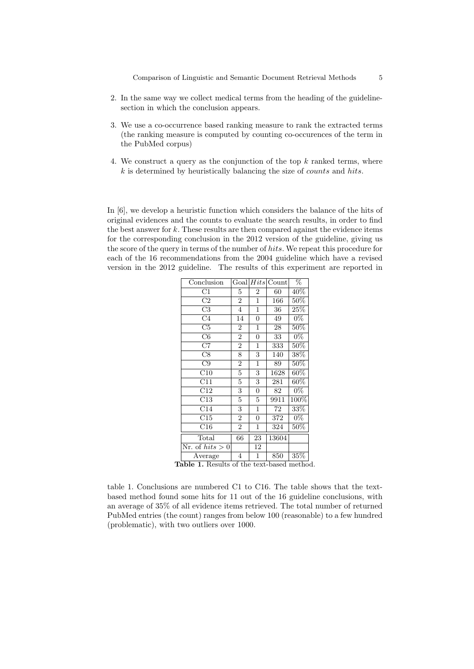- 2. In the same way we collect medical terms from the heading of the guidelinesection in which the conclusion appears.
- 3. We use a co-occurrence based ranking measure to rank the extracted terms (the ranking measure is computed by counting co-occurences of the term in the PubMed corpus)
- 4. We construct a query as the conjunction of the top  $k$  ranked terms, where  $k$  is determined by heuristically balancing the size of *counts* and hits.

In [6], we develop a heuristic function which considers the balance of the hits of original evidences and the counts to evaluate the search results, in order to find the best answer for  $k$ . These results are then compared against the evidence items for the corresponding conclusion in the 2012 version of the guideline, giving us the score of the query in terms of the number of hits. We repeat this procedure for each of the 16 recommendations from the 2004 guideline which have a revised version in the 2012 guideline. The results of this experiment are reported in

| $\overline{\text{Conclusion}}$         |                | Goal Hits       | $\overline{\text{Count}}$ | $\overline{\%}$   |
|----------------------------------------|----------------|-----------------|---------------------------|-------------------|
| C1                                     | 5              | $\overline{2}$  | 60                        | 40%               |
| C2                                     | $\overline{2}$ | $\mathbf{1}$    | 166                       | $50\%$            |
| C3                                     | 4              | $\mathbf{1}$    | 36                        | $25\%$            |
| C <sub>4</sub>                         | 14             | $\overline{0}$  | 49                        | $0\%$             |
| C5                                     | $\overline{2}$ | $\overline{1}$  | 28                        | $50\%$            |
| C6                                     | $\overline{2}$ | $\overline{0}$  | 33                        | $0\%$             |
| C7                                     | $\overline{2}$ | $\mathbf{1}$    | 333                       | $50\%$            |
| C8                                     | 8              | 3               | 140                       | $\overline{38\%}$ |
| C9                                     | $\overline{2}$ | $\mathbf 1$     | 89                        | $50\%$            |
| C10                                    | $\overline{5}$ | 3               | 1628                      | $60\%$            |
| C11                                    | $\overline{5}$ | 3               | 281                       | $60\%$            |
| C12                                    | 3              | $\overline{0}$  | 82                        | $0\%$             |
| C13                                    | 5              | 5               | 9911                      | 100%              |
| C14                                    | 3              | $\mathbf{1}$    | 72                        | $33\%$            |
| C15                                    | $\overline{2}$ | $\overline{0}$  | 372                       | $0\%$             |
| $\overline{\text{C}}$ 16               | $\overline{2}$ | 1               | 324                       | $50\%$            |
| Total                                  | 66             | $\overline{2}3$ | 13604                     |                   |
| $\overline{\text{Nr.}}$ of $hits > 0$  |                | 12              |                           |                   |
| Average                                | 4              | 1               | 850                       | 35%               |
| able 1 Results of the text beged metho |                |                 |                           |                   |

Table 1. Results of the text-based method.

table 1. Conclusions are numbered C1 to C16. The table shows that the textbased method found some hits for 11 out of the 16 guideline conclusions, with an average of 35% of all evidence items retrieved. The total number of returned PubMed entries (the count) ranges from below 100 (reasonable) to a few hundred (problematic), with two outliers over 1000.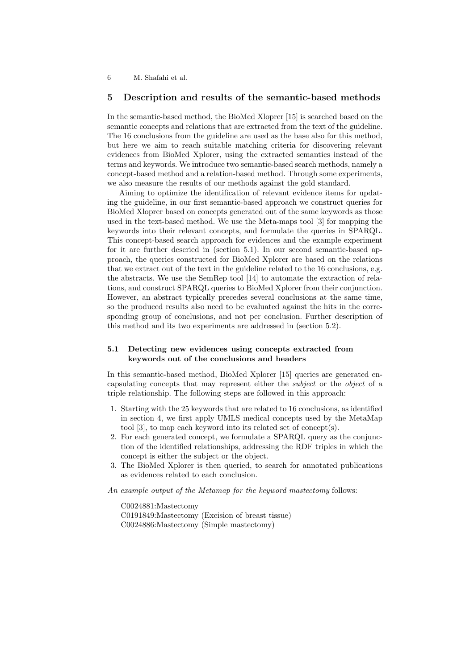#### 5 Description and results of the semantic-based methods

In the semantic-based method, the BioMed Xloprer [15] is searched based on the semantic concepts and relations that are extracted from the text of the guideline. The 16 conclusions from the guideline are used as the base also for this method, but here we aim to reach suitable matching criteria for discovering relevant evidences from BioMed Xplorer, using the extracted semantics instead of the terms and keywords. We introduce two semantic-based search methods, namely a concept-based method and a relation-based method. Through some experiments, we also measure the results of our methods against the gold standard.

Aiming to optimize the identification of relevant evidence items for updating the guideline, in our first semantic-based approach we construct queries for BioMed Xloprer based on concepts generated out of the same keywords as those used in the text-based method. We use the Meta-maps tool [3] for mapping the keywords into their relevant concepts, and formulate the queries in SPARQL. This concept-based search approach for evidences and the example experiment for it are further descried in (section 5.1). In our second semantic-based approach, the queries constructed for BioMed Xplorer are based on the relations that we extract out of the text in the guideline related to the 16 conclusions, e.g. the abstracts. We use the SemRep tool [14] to automate the extraction of relations, and construct SPARQL queries to BioMed Xplorer from their conjunction. However, an abstract typically precedes several conclusions at the same time, so the produced results also need to be evaluated against the hits in the corresponding group of conclusions, and not per conclusion. Further description of this method and its two experiments are addressed in (section 5.2).

#### 5.1 Detecting new evidences using concepts extracted from keywords out of the conclusions and headers

In this semantic-based method, BioMed Xplorer [15] queries are generated encapsulating concepts that may represent either the subject or the object of a triple relationship. The following steps are followed in this approach:

- 1. Starting with the 25 keywords that are related to 16 conclusions, as identified in section 4, we first apply UMLS medical concepts used by the MetaMap tool [3], to map each keyword into its related set of concept(s).
- 2. For each generated concept, we formulate a SPARQL query as the conjunction of the identified relationships, addressing the RDF triples in which the concept is either the subject or the object.
- 3. The BioMed Xplorer is then queried, to search for annotated publications as evidences related to each conclusion.

An example output of the Metamap for the keyword mastectomy follows:

C0024881:Mastectomy C0191849:Mastectomy (Excision of breast tissue) C0024886:Mastectomy (Simple mastectomy)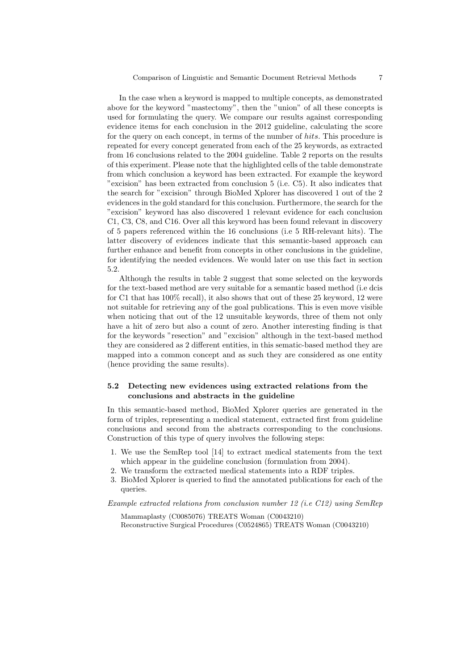In the case when a keyword is mapped to multiple concepts, as demonstrated above for the keyword "mastectomy", then the "union" of all these concepts is used for formulating the query. We compare our results against corresponding evidence items for each conclusion in the 2012 guideline, calculating the score for the query on each concept, in terms of the number of hits. This procedure is repeated for every concept generated from each of the 25 keywords, as extracted from 16 conclusions related to the 2004 guideline. Table 2 reports on the results of this experiment. Please note that the highlighted cells of the table demonstrate from which conclusion a keyword has been extracted. For example the keyword "excision" has been extracted from conclusion 5 (i.e. C5). It also indicates that the search for "excision" through BioMed Xplorer has discovered 1 out of the 2 evidences in the gold standard for this conclusion. Furthermore, the search for the "excision" keyword has also discovered 1 relevant evidence for each conclusion C1, C3, C8, and C16. Over all this keyword has been found relevant in discovery of 5 papers referenced within the 16 conclusions (i.e 5 RH-relevant hits). The latter discovery of evidences indicate that this semantic-based approach can further enhance and benefit from concepts in other conclusions in the guideline, for identifying the needed evidences. We would later on use this fact in section 5.2.

Although the results in table 2 suggest that some selected on the keywords for the text-based method are very suitable for a semantic based method (i.e dcis for C1 that has 100% recall), it also shows that out of these 25 keyword, 12 were not suitable for retrieving any of the goal publications. This is even move visible when noticing that out of the 12 unsuitable keywords, three of them not only have a hit of zero but also a count of zero. Another interesting finding is that for the keywords "resection" and "excision" although in the text-based method they are considered as 2 different entities, in this sematic-based method they are mapped into a common concept and as such they are considered as one entity (hence providing the same results).

### 5.2 Detecting new evidences using extracted relations from the conclusions and abstracts in the guideline

In this semantic-based method, BioMed Xplorer queries are generated in the form of triples, representing a medical statement, extracted first from guideline conclusions and second from the abstracts corresponding to the conclusions. Construction of this type of query involves the following steps:

- 1. We use the SemRep tool [14] to extract medical statements from the text which appear in the guideline conclusion (formulation from 2004).
- 2. We transform the extracted medical statements into a RDF triples.
- 3. BioMed Xplorer is queried to find the annotated publications for each of the queries.

Example extracted relations from conclusion number 12 (i.e C12) using SemRep

Mammaplasty (C0085076) TREATS Woman (C0043210) Reconstructive Surgical Procedures (C0524865) TREATS Woman (C0043210)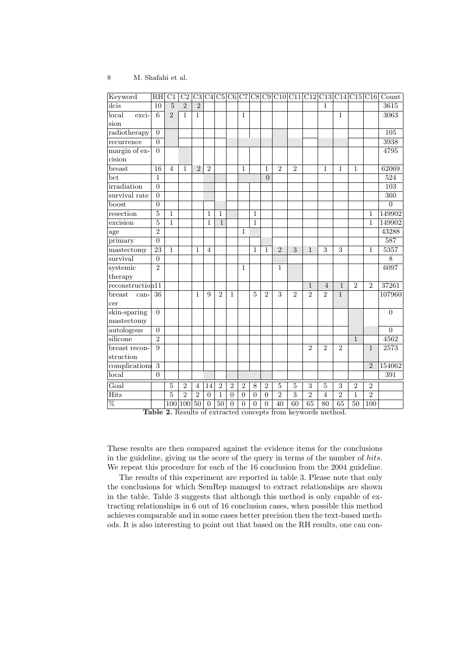| Keyword          | RH               | C1             | C <sub>2</sub> | C3              |                |                |                |                  |                  |                  | $C4 C5 C6 C7 C8 C9 C10 C11 C12 C13 C14 C15 C16 $ |                |                |                |                           |                 |                | $\overline{\text{Count}}$ |
|------------------|------------------|----------------|----------------|-----------------|----------------|----------------|----------------|------------------|------------------|------------------|--------------------------------------------------|----------------|----------------|----------------|---------------------------|-----------------|----------------|---------------------------|
| dcis             | 10               | $\overline{5}$ | $\overline{2}$ | $\overline{2}$  |                |                |                |                  |                  |                  |                                                  |                |                | 1              |                           |                 |                | 3615                      |
| local<br>exci-   | 6                | $\overline{2}$ | 1              | $\mathbf{1}$    |                |                |                | $\mathbf{1}$     |                  |                  |                                                  |                |                |                | $\mathbf{1}$              |                 |                | 3063                      |
| sion             |                  |                |                |                 |                |                |                |                  |                  |                  |                                                  |                |                |                |                           |                 |                |                           |
| radiotherapy     | $\overline{0}$   |                |                |                 |                |                |                |                  |                  |                  |                                                  |                |                |                |                           |                 |                | 105                       |
| recurrence       | $\overline{0}$   |                |                |                 |                |                |                |                  |                  |                  |                                                  |                |                |                |                           |                 |                | 3938                      |
| margin of ex-    | $\boldsymbol{0}$ |                |                |                 |                |                |                |                  |                  |                  |                                                  |                |                |                |                           |                 |                | 4795                      |
| cision           |                  |                |                |                 |                |                |                |                  |                  |                  |                                                  |                |                |                |                           |                 |                |                           |
| breast           | 16               | $\overline{4}$ | 1              | $\overline{2}$  | $\overline{2}$ |                |                | $\mathbf{1}$     |                  | 1                | $\overline{2}$                                   | $\overline{2}$ |                | 1              | 1                         | $\mathbf{1}$    |                | 62069                     |
| bct              | 1                |                |                |                 |                |                |                |                  |                  | $\overline{0}$   |                                                  |                |                |                |                           |                 |                | 524                       |
| irradiation      | $\boldsymbol{0}$ |                |                |                 |                |                |                |                  |                  |                  |                                                  |                |                |                |                           |                 |                | 103                       |
| survival rate    | $\overline{0}$   |                |                |                 |                |                |                |                  |                  |                  |                                                  |                |                |                |                           |                 |                | 360                       |
| boost            | $\boldsymbol{0}$ |                |                |                 |                |                |                |                  |                  |                  |                                                  |                |                |                |                           |                 |                | $\boldsymbol{0}$          |
| resection        | $\overline{5}$   | $\mathbf{1}$   |                |                 | $\mathbf{1}$   | $\mathbf{1}$   |                |                  | $\mathbf{1}$     |                  |                                                  |                |                |                |                           |                 | $\mathbf{1}$   | 149902                    |
| excision         | $\bf 5$          | $\mathbf{1}$   |                |                 | 1              | $\mathbf{1}$   |                |                  | $\mathbf{1}$     |                  |                                                  |                |                |                |                           |                 | $\overline{1}$ | 149902                    |
| age              | $\overline{2}$   |                |                |                 |                |                |                | 1                |                  |                  |                                                  |                |                |                |                           |                 |                | 43288                     |
| primary          | $\boldsymbol{0}$ |                |                |                 |                |                |                |                  |                  |                  |                                                  |                |                |                |                           |                 |                | 587                       |
| mastectomy       | $\overline{23}$  | $\overline{1}$ |                | $\mathbf{1}$    | $\overline{4}$ |                |                |                  | 1                | $\mathbf{1}$     | $\overline{2}$                                   | 3              | 1              | $\overline{3}$ | $\overline{\overline{3}}$ |                 | $\overline{1}$ | 5357                      |
| survival         | $\overline{0}$   |                |                |                 |                |                |                |                  |                  |                  |                                                  |                |                |                |                           |                 |                | $8\,$                     |
| systemic         | $\overline{2}$   |                |                |                 |                |                |                | $\mathbf{1}$     |                  |                  | 1                                                |                |                |                |                           |                 |                | 6097                      |
| therapy          |                  |                |                |                 |                |                |                |                  |                  |                  |                                                  |                |                |                |                           |                 |                |                           |
| reconstruction11 |                  |                |                |                 |                |                |                |                  |                  |                  |                                                  |                | 1              | 4              | $\mathbf{1}$              | $\overline{2}$  | $\overline{2}$ | 37261                     |
| breast<br>can-   | 36               |                |                | 1               | 9              | $\overline{2}$ | 1              |                  | 5                | $\overline{2}$   | 3                                                | $\overline{2}$ | $\overline{2}$ | $\overline{2}$ | $\mathbf{1}$              |                 |                | 107960                    |
| cer              |                  |                |                |                 |                |                |                |                  |                  |                  |                                                  |                |                |                |                           |                 |                |                           |
| skin-sparing     | $\boldsymbol{0}$ |                |                |                 |                |                |                |                  |                  |                  |                                                  |                |                |                |                           |                 |                | $\overline{0}$            |
| mastectomy       |                  |                |                |                 |                |                |                |                  |                  |                  |                                                  |                |                |                |                           |                 |                |                           |
| autologous       | $\boldsymbol{0}$ |                |                |                 |                |                |                |                  |                  |                  |                                                  |                |                |                |                           |                 |                | $\boldsymbol{0}$          |
| silicone         | $\overline{2}$   |                |                |                 |                |                |                |                  |                  |                  |                                                  |                |                |                |                           | $\mathbf{1}$    |                | 4562                      |
| breast recon-    | 9                |                |                |                 |                |                |                |                  |                  |                  |                                                  |                | $\overline{2}$ | $\overline{2}$ | $\overline{2}$            |                 | 1              | 2573                      |
| struction        |                  |                |                |                 |                |                |                |                  |                  |                  |                                                  |                |                |                |                           |                 |                |                           |
| complications    | $\overline{3}$   |                |                |                 |                |                |                |                  |                  |                  |                                                  |                |                |                |                           |                 | $\overline{2}$ | 154062                    |
| local            | $\overline{0}$   |                |                |                 |                |                |                |                  |                  |                  |                                                  |                |                |                |                           |                 |                | 391                       |
| Goal             |                  | $\overline{5}$ | $\overline{2}$ | $\overline{4}$  | 14             | $\overline{2}$ | $\overline{2}$ | $\overline{2}$   | 8                | $\overline{2}$   | 5                                                | 5              | 3              | 5              | 3                         | $\overline{2}$  | $\overline{2}$ |                           |
| <b>Hits</b>      |                  | $\overline{5}$ | $\overline{2}$ | $\overline{2}$  | $\overline{0}$ | 1              | $\theta$       | $\boldsymbol{0}$ | $\boldsymbol{0}$ | $\boldsymbol{0}$ | $\overline{2}$                                   | $\overline{3}$ | $\overline{2}$ | $\overline{4}$ | $\overline{2}$            | 1               | $\overline{2}$ |                           |
| $\%$             |                  | 100            | 100            | $\overline{50}$ | $\overline{0}$ | 50             | $\overline{0}$ | $\overline{0}$   | $\overline{0}$   | $\overline{0}$   | 40                                               | 60             | 65             | 80             | 65                        | $\overline{50}$ | 100            |                           |

Table 2. Results of extracted concepts from keywords method.

These results are then compared against the evidence items for the conclusions in the guideline, giving us the score of the query in terms of the number of hits. We repeat this procedure for each of the 16 conclusion from the 2004 guideline.

The results of this experiment are reported in table 3. Please note that only the conclusions for which SemRep managed to extract relationships are shown in the table. Table 3 suggests that although this method is only capable of extracting relationships in 6 out of 16 conclusion cases, when possible this method achieves comparable and in some cases better precision then the text-based methods. It is also interesting to point out that based on the RH results, one can con-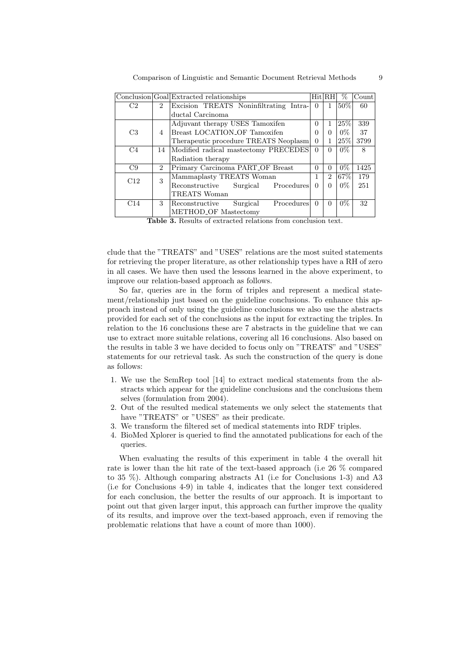| Comparison of Linguistic and Semantic Document Retrieval Methods |  |
|------------------------------------------------------------------|--|
|------------------------------------------------------------------|--|

|     |                | Conclusion Goal Extracted relationships                    |          | Hit RH         | %      | Count |
|-----|----------------|------------------------------------------------------------|----------|----------------|--------|-------|
| C2  | $\mathfrak{D}$ | Excision TREATS Noninfiltrating Intra-                     | $\Omega$ | 1.             | 50%    | 60    |
|     |                | ductal Carcinoma                                           |          |                |        |       |
|     |                | Adjuvant therapy USES Tamoxifen                            | 0        | 1              | $25\%$ | 339   |
| C3  | 4              | Breast LOCATION OF Tamoxifen                               | 0        | $\Omega$       | $0\%$  | 37    |
|     |                | Therapeutic procedure TREATS Neoplasm                      | 0        | 1              | 25%    | 3799  |
| C4  | 14             | Modified radical mastectomy PRECEDES                       | $\Omega$ | $\Omega$       | $0\%$  | 8     |
|     |                | Radiation therapy                                          |          |                |        |       |
| C9  | $\mathfrak{D}$ | Primary Carcinoma PART OF Breast                           | $\theta$ | $\Omega$       | $0\%$  | 1425  |
| C12 | 3              | Mammaplasty TREATS Woman                                   | 1        | $\overline{2}$ | 67%    | 179   |
|     |                | Procedures<br>Surgical<br>Reconstructive                   | 0        | $\Omega$       | $0\%$  | 251   |
|     |                | TREATS Woman                                               |          |                |        |       |
| C14 | 3              | Procedures<br>Surgical<br>Reconstructive                   | $\Omega$ | $\Omega$       | $0\%$  | 32    |
|     |                | METHOD <sub>-OF</sub> Mastectomy                           |          |                |        |       |
|     |                | Table 2 Decute of extracted relations from conclusion text |          |                |        |       |

**3.** Results of extracted relations from conclusion te

clude that the "TREATS" and "USES" relations are the most suited statements for retrieving the proper literature, as other relationship types have a RH of zero in all cases. We have then used the lessons learned in the above experiment, to improve our relation-based approach as follows.

So far, queries are in the form of triples and represent a medical statement/relationship just based on the guideline conclusions. To enhance this approach instead of only using the guideline conclusions we also use the abstracts provided for each set of the conclusions as the input for extracting the triples. In relation to the 16 conclusions these are 7 abstracts in the guideline that we can use to extract more suitable relations, covering all 16 conclusions. Also based on the results in table 3 we have decided to focus only on "TREATS" and "USES" statements for our retrieval task. As such the construction of the query is done as follows:

- 1. We use the SemRep tool [14] to extract medical statements from the abstracts which appear for the guideline conclusions and the conclusions them selves (formulation from 2004).
- 2. Out of the resulted medical statements we only select the statements that have "TREATS" or "USES" as their predicate.
- 3. We transform the filtered set of medical statements into RDF triples.
- 4. BioMed Xplorer is queried to find the annotated publications for each of the queries.

When evaluating the results of this experiment in table 4 the overall hit rate is lower than the hit rate of the text-based approach (i.e 26 % compared to 35 %). Although comparing abstracts A1 (i.e for Conclusions 1-3) and A3 (i.e for Conclusions 4-9) in table 4, indicates that the longer text considered for each conclusion, the better the results of our approach. It is important to point out that given larger input, this approach can further improve the quality of its results, and improve over the text-based approach, even if removing the problematic relations that have a count of more than 1000).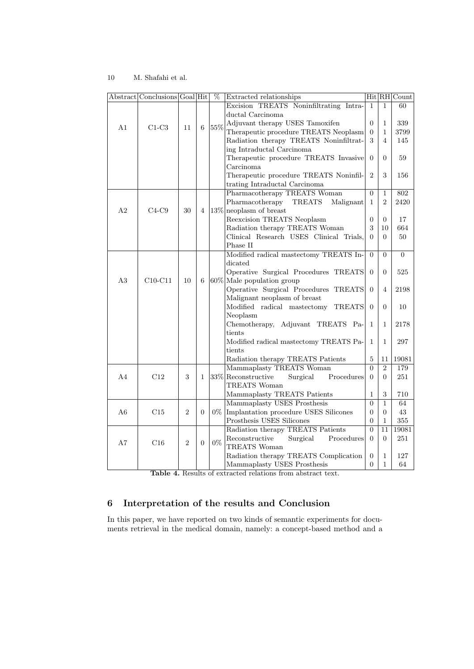|                | Abstract Conclusions Goal Hit                  |                |                | $\overline{\%}$                        | Extracted relationships                                                   |                  |                  | Hit RH Count   |
|----------------|------------------------------------------------|----------------|----------------|----------------------------------------|---------------------------------------------------------------------------|------------------|------------------|----------------|
|                |                                                |                |                |                                        | Excision TREATS Noninfiltrating Intra-                                    | $\mathbf{1}$     | $\mathbf{1}$     | 60             |
|                | $55\%$<br>A <sub>1</sub><br>6<br>$C1-C3$<br>11 |                |                |                                        | ductal Carcinoma                                                          |                  |                  |                |
|                |                                                |                |                |                                        | Adjuvant therapy USES Tamoxifen                                           | $\overline{0}$   | $\mathbf{1}$     | 339            |
|                |                                                |                |                |                                        | Therapeutic procedure TREATS Neoplasm                                     | $\boldsymbol{0}$ | $\mathbf{1}$     | 3799           |
|                |                                                |                |                | Radiation therapy TREATS Noninfiltrat- | 3                                                                         | $\overline{4}$   | 145              |                |
|                |                                                |                |                |                                        | ing Intraductal Carcinoma                                                 |                  |                  |                |
|                |                                                |                |                |                                        | Therapeutic procedure TREATS Invasive                                     | $\overline{0}$   | $\theta$         | 59             |
|                |                                                |                |                |                                        | Carcinoma                                                                 |                  |                  |                |
|                |                                                |                |                |                                        | Therapeutic procedure TREATS Noninfil-                                    | $\overline{2}$   | 3                | 156            |
|                |                                                |                |                |                                        | trating Intraductal Carcinoma                                             |                  |                  |                |
|                |                                                |                |                |                                        | Pharmacotherapy TREATS Woman                                              | $\theta$         | $\mathbf{1}$     | 802            |
|                |                                                |                |                |                                        | Pharmacotherapy<br><b>TREATS</b><br>Malignant                             | $\mathbf{1}$     | $\overline{2}$   | 2420           |
| A2             | $C4-C9$                                        | 30             | 4              |                                        | $13\%$ neoplasm of breast                                                 |                  |                  |                |
|                |                                                |                |                |                                        | Reexcision TREATS Neoplasm                                                | $\theta$         | $\Omega$         | 17             |
|                |                                                |                |                |                                        | Radiation therapy TREATS Woman<br>Clinical Research USES Clinical Trials, | 3<br>$\Omega$    | 10<br>$\Omega$   | 664<br>50      |
|                |                                                |                |                |                                        | Phase II                                                                  |                  |                  |                |
|                |                                                |                |                |                                        | Modified radical mastectomy TREATS In-                                    | $\overline{0}$   | $\overline{0}$   | $\overline{0}$ |
|                |                                                |                |                |                                        | dicated                                                                   |                  |                  |                |
|                |                                                |                |                |                                        | Operative Surgical Procedures TREATS                                      | $\theta$         | $\Omega$         | 525            |
| A3             | $C10-C11$                                      | 10             | 6              |                                        | 60% Male population group                                                 |                  |                  |                |
|                |                                                |                |                |                                        | Operative Surgical Procedures<br><b>TREATS</b>                            | $\Omega$         | $\overline{4}$   | 2198           |
|                |                                                |                |                |                                        | Malignant neoplasm of breast                                              |                  |                  |                |
|                |                                                |                |                |                                        | Modified radical mastectomy<br><b>TREATS</b>                              | $\theta$         | $\overline{0}$   | 10             |
|                |                                                |                |                |                                        | Neoplasm                                                                  |                  |                  |                |
|                |                                                |                |                |                                        | Chemotherapy, Adjuvant TREATS Pa-                                         | $\mathbf{1}$     | 1                | 2178           |
|                |                                                |                |                |                                        | tients                                                                    |                  |                  |                |
|                |                                                |                |                |                                        | Modified radical mastectomy TREATS Pa-                                    | $\mathbf{1}$     | $\mathbf{1}$     | 297            |
|                |                                                |                |                |                                        | tients                                                                    |                  |                  |                |
|                |                                                |                |                |                                        | Radiation therapy TREATS Patients                                         | $\overline{5}$   | 11               | 19081          |
|                |                                                |                |                |                                        | Mammaplasty TREATS Woman                                                  | $\overline{0}$   | $\overline{2}$   | 179            |
| A <sub>4</sub> | C12                                            | 3              | 1              |                                        | 33% Reconstructive<br>Surgical<br>Procedures                              | $\theta$         | $\Omega$         | 251            |
|                |                                                |                |                |                                        | TREATS Woman                                                              |                  |                  |                |
|                |                                                |                |                |                                        | Mammaplasty TREATS Patients                                               | $\mathbf{1}$     | $\boldsymbol{3}$ | 710            |
|                |                                                |                |                |                                        | Mammaplasty USES Prosthesis                                               | $\overline{0}$   | $\mathbf{1}$     | 64             |
| A6             | C15                                            | $\overline{2}$ | $\overline{0}$ | $0\%$                                  | Implantation procedure USES Silicones                                     | $\overline{0}$   | $\theta$         | 43             |
|                |                                                |                |                |                                        | Prosthesis USES Silicones                                                 | $\theta$         | $\mathbf{1}$     | 355            |
|                |                                                |                |                |                                        | Radiation therapy TREATS Patients                                         | $\theta$         | 11               | 19081          |
| A7             | C16                                            | $\overline{2}$ | $\overline{0}$ | $0\%$                                  | Reconstructive<br>Surgical<br>Procedures<br>TREATS Woman                  | $\theta$         | $\Omega$         | 251            |
|                |                                                |                |                |                                        | Radiation therapy TREATS Complication                                     | $\theta$         | 1                | 127            |
|                |                                                |                |                |                                        | Mammaplasty USES Prosthesis                                               | $\overline{0}$   | $\mathbf{1}$     | 64             |
|                |                                                |                |                |                                        |                                                                           |                  |                  |                |

Table 4. Results of extracted relations from abstract text.

## 6 Interpretation of the results and Conclusion

In this paper, we have reported on two kinds of semantic experiments for documents retrieval in the medical domain, namely: a concept-based method and a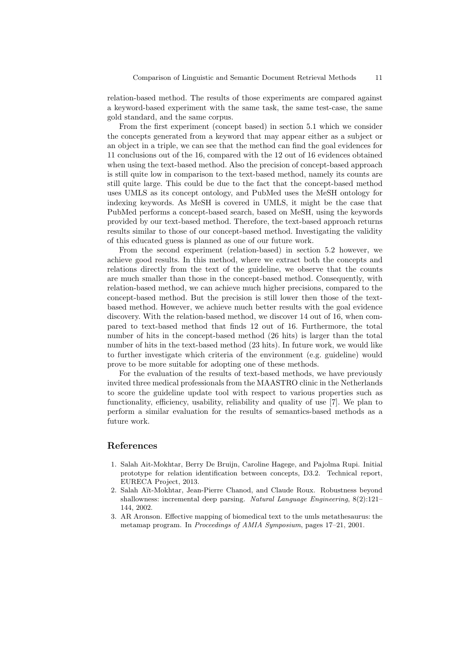relation-based method. The results of those experiments are compared against a keyword-based experiment with the same task, the same test-case, the same gold standard, and the same corpus.

From the first experiment (concept based) in section 5.1 which we consider the concepts generated from a keyword that may appear either as a subject or an object in a triple, we can see that the method can find the goal evidences for 11 conclusions out of the 16, compared with the 12 out of 16 evidences obtained when using the text-based method. Also the precision of concept-based approach is still quite low in comparison to the text-based method, namely its counts are still quite large. This could be due to the fact that the concept-based method uses UMLS as its concept ontology, and PubMed uses the MeSH ontology for indexing keywords. As MeSH is covered in UMLS, it might be the case that PubMed performs a concept-based search, based on MeSH, using the keywords provided by our text-based method. Therefore, the text-based approach returns results similar to those of our concept-based method. Investigating the validity of this educated guess is planned as one of our future work.

From the second experiment (relation-based) in section 5.2 however, we achieve good results. In this method, where we extract both the concepts and relations directly from the text of the guideline, we observe that the counts are much smaller than those in the concept-based method. Consequently, with relation-based method, we can achieve much higher precisions, compared to the concept-based method. But the precision is still lower then those of the textbased method. However, we achieve much better results with the goal evidence discovery. With the relation-based method, we discover 14 out of 16, when compared to text-based method that finds 12 out of 16. Furthermore, the total number of hits in the concept-based method (26 hits) is larger than the total number of hits in the text-based method (23 hits). In future work, we would like to further investigate which criteria of the environment (e.g. guideline) would prove to be more suitable for adopting one of these methods.

For the evaluation of the results of text-based methods, we have previously invited three medical professionals from the MAASTRO clinic in the Netherlands to score the guideline update tool with respect to various properties such as functionality, efficiency, usability, reliability and quality of use [7]. We plan to perform a similar evaluation for the results of semantics-based methods as a future work.

#### References

- 1. Salah Ait-Mokhtar, Berry De Bruijn, Caroline Hagege, and Pajolma Rupi. Initial prototype for relation identification between concepts, D3.2. Technical report, EURECA Project, 2013.
- 2. Salah Aït-Mokhtar, Jean-Pierre Chanod, and Claude Roux. Robustness beyond shallowness: incremental deep parsing. Natural Language Engineering, 8(2):121– 144, 2002.
- 3. AR Aronson. Effective mapping of biomedical text to the umls metathesaurus: the metamap program. In Proceedings of AMIA Symposium, pages 17–21, 2001.